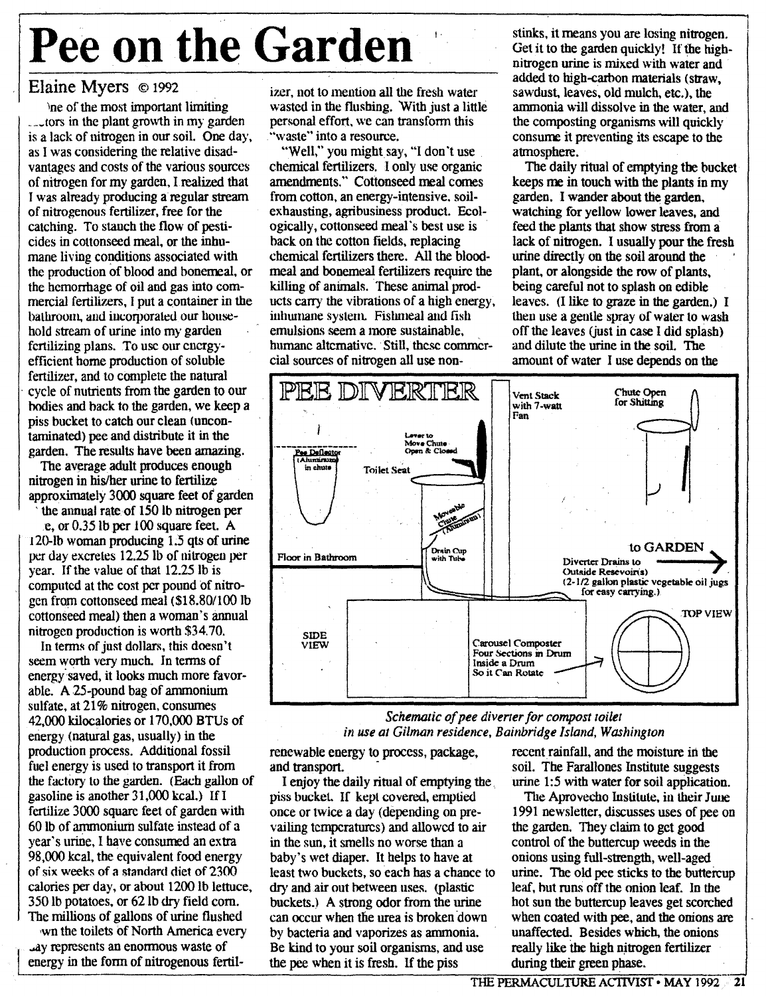## **Pee** on the **Garden**

## Elaine Myers © <sup>1992</sup>

)ne of the most important limiting \_\_\_tors in the plant growth in my garden is a lack of nitrogen in our soil. One day, as I was considering the relative disadvantages and costs of the various sources of nitrogen for my garden, lrealized that I was already producing a regular stream of nitrogenous fertilizer, free for the catching. To stanch the flow of pesticides in cottonseed meal, or the inhumane living conditions associated with the production of blood and bonerreal, or the hemorrhage of oil and gas into commercial fertilizers, I put a container in the bathroom, and iucorporated our household stream of urine into my garden fertilizing plans. To usc our cnergyefficient home production of soluble fertilizer, and to complete the natural cycle of nutrients from the garden to our hodies and hack to the garden, we keep a piss bucket to catch our clean (uncontaminated) pee and distribute it in the garden. The results have been amazing.

The average adult produces enough nitrogen in his/her urine to fertilize approximately 3000 square feet of garden , the annual rate of 150 Ib nitrogen per

e, or 0.35 lb per 100 square feet. A 120-lb woman producing 1.5 qts of urine per day excretes 12.25 Ib of nitrogen per year. If the value of that 12.25 lb is computed at the cost per pound of nitrogen from cottonseed meal (\$18.801100 Ib cottonseed meal) then a woman's annual nitrogen production is worth \$34.70.

In terms of just dollars, this doesn't seem worth very much. In terms of energy'saved, it looks much more favorable. A 25-pound bag of ammonium sulfate, at 21% nitrogen, consumes 42,000 kilocalories or 170,000 BTUs of energy (natural gas, usually) in the production process. Additional fossil fuel energy is used to transport it from the factory to the garden. (Each gallon of gasoline is another 31,000 kcal.) If I fertilize 3000 square feet of garden with 60 Ib of ammonium sulfate instead of a year's urine, I have consumed an extra 98,000 kcal, the equivalent food energy of six weeks of a standard diet of 2300 calories per day, or about 1200 Ib lettuce, 350 lb potatoes, or 62 lb dry field com. The millions of gallons of urine flushed

wn the toilets of North America every Lay represents an enormous waste of energy in the form of nitrogenous fertilizer, not to mention all the fresh water wasted in the flushing. With just a little personal effort, we can transform this "waste" into a resource.

1 '

"Well," you might say, "I don't use chemical fertilizers. I only use organic amendments." Cottonseed meal comes from cotton, an energy-intensive, soilexhausting, agribusiness product. Ecologically, cottonseed meal's best use is back on the cotton fields, replacing chemical fertilizers there. AU the bloodmeal and bonemeal fertilizers require the killing of animals. These animal products carry the vibrations of a high energy, inhumane system. Fishmeal and fish emulsions seem a more sustainable, humane alternative. Still, these commercial sources of nitrogen all use nonstinks, it means you are losing nitrogen. Get it to the garden quickly! If the highnitrogen urine is mixed with water and added to high-carbon materials (straw, sawdust, leaves, old mulch. etc.), the ammonia will dissolve in the water, and the composting organisms will quickly consurre it preventing its escape to the atmosphere.

The daily ritual of emptying the bucket keeps me in touch with the plants in my garden, I wander about the garden, watching for yellow lower leaves, and feed the plants that show stress from a lack of nitrogen. I usually pour the fresh urine directly on the soil around the plant, or alongside the row of plants, being careful not to splash on edible leaves. (1 like to graze in the garden.) I then use a gentle spray of water to wash off the leaves (just in case I did splash) and dilute the urine in the soil. The amount of water I use depends on the



## *Schematic of pee diverter for compost toilet in use at Gilman residence, Bainbridge Island, Washington*

renewable energy to process, package, recent rainfall, and the moisture in the and transport. Soil. The Farallones Institute suggests

I enjoy the daily ritual of emptying the ... urine 1:5 with water for soil application.<br>In the Application ass bucket. If kept covered, emptied The Aprovecho Institute, in their June piss bucket. If kept covered, emptied once or twice a day (depending on prevailing temperatures) and allowed to air in the sun, it smells no worse than a in the sun, it smells no worse than a control of the buttercup weeds in the baby's wet diaper. It helps to have at onions using full-strength, well-aged least two buckets, so each has a chance to dry and air out between uses. (plastic dry and air out between uses. (plastic leaf, but runs off the onion leaf. In the buckets.) A strong odor from the urine hot sun the buttercup leaves get scorche buckets.) A strong odor from the urine hot sun the buttercup leaves get scorched can occur when the urea is broken down when coated with pee, and the onions are by bacteria and vaporizes as ammonia. unaffected. Besides which, the onion<br>Be kind to your soil organisms, and use really like the high nitrogen fertilizer Be kind to your soil organisms, and use really like the high nitrogen the pee when it is fresh. If the piss during their green phase. the pee when it is fresh. If the piss

soil. The Farallones Institute suggests<br>urine 1:5 with water for soil application.

1991 newsletter, discusses uses of pee on the garden. They claim to get good onions using full-strength, well-aged<br>urine. The old pee sticks to the buttercup when coated with pee, and the onions are<br>unaffected. Besides which, the onions